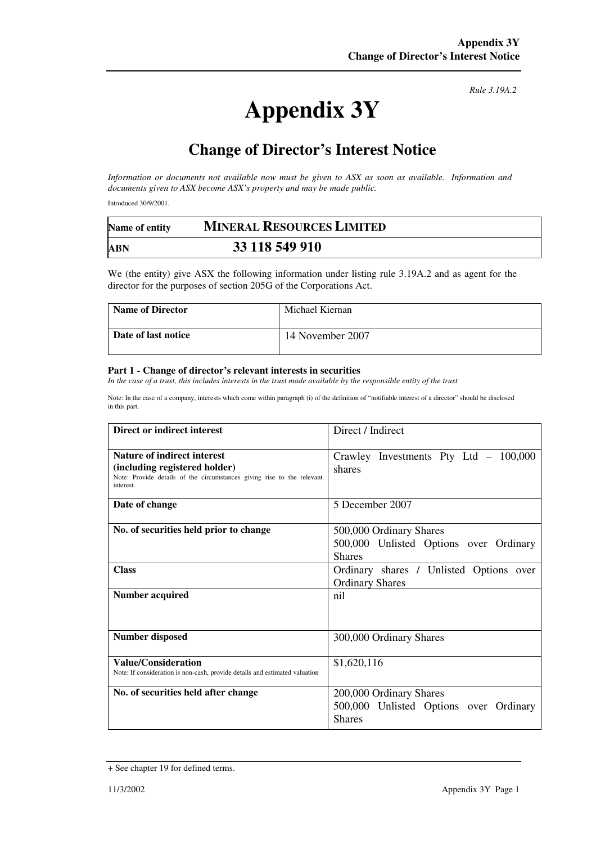## **Appendix 3Y**

*Rule 3.19A.2*

## **Change of Director's Interest Notice**

*Information or documents not available now must be given to ASX as soon as available. Information and documents given to ASX become ASX's property and may be made public.* 

Introduced 30/9/2001.

| Name of entity | <b>MINERAL RESOURCES LIMITED</b> |  |
|----------------|----------------------------------|--|
| ABN            | 33 118 549 910                   |  |

We (the entity) give ASX the following information under listing rule 3.19A.2 and as agent for the director for the purposes of section 205G of the Corporations Act.

| <b>Name of Director</b> | Michael Kiernan  |
|-------------------------|------------------|
| Date of last notice     | 14 November 2007 |

## **Part 1 - Change of director's relevant interests in securities**

In the case of a trust, this includes interests in the trust made available by the responsible entity of the trust

Note: In the case of a company, interests which come within paragraph (i) of the definition of "notifiable interest of a director" should be disclosed in this part.

| Direct or indirect interest                                                                                                                                | Direct / Indirect                                                                  |
|------------------------------------------------------------------------------------------------------------------------------------------------------------|------------------------------------------------------------------------------------|
| <b>Nature of indirect interest</b><br>(including registered holder)<br>Note: Provide details of the circumstances giving rise to the relevant<br>interest. | Crawley Investments Pty Ltd $-100,000$<br>shares                                   |
| Date of change                                                                                                                                             | 5 December 2007                                                                    |
| No. of securities held prior to change                                                                                                                     | 500,000 Ordinary Shares<br>500,000 Unlisted Options over Ordinary<br><b>Shares</b> |
| <b>Class</b>                                                                                                                                               | Ordinary shares / Unlisted Options over<br><b>Ordinary Shares</b>                  |
| <b>Number acquired</b>                                                                                                                                     | nil                                                                                |
| <b>Number disposed</b>                                                                                                                                     | 300,000 Ordinary Shares                                                            |
| <b>Value/Consideration</b><br>Note: If consideration is non-cash, provide details and estimated valuation                                                  | \$1,620,116                                                                        |
| No. of securities held after change                                                                                                                        | 200,000 Ordinary Shares<br>500,000 Unlisted Options over Ordinary<br><b>Shares</b> |

<sup>+</sup> See chapter 19 for defined terms.